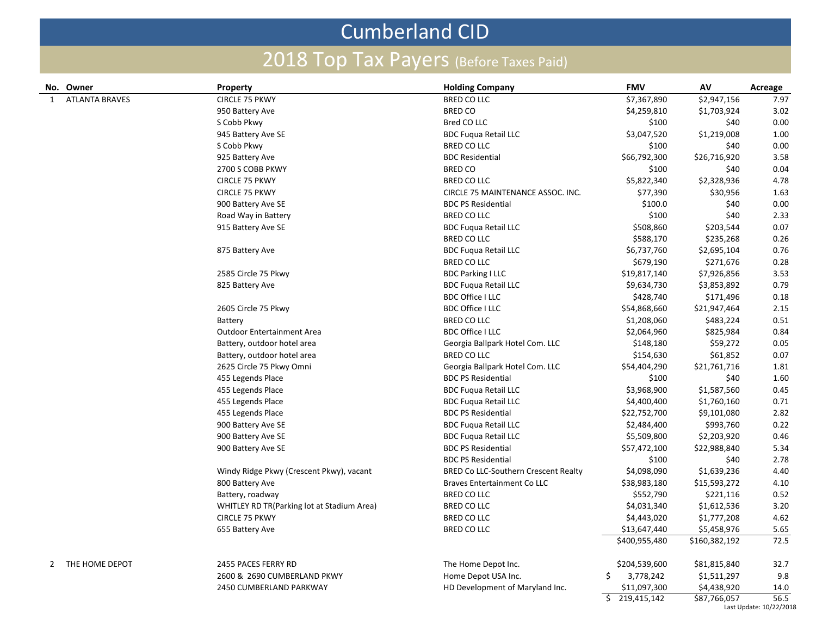## Cumberland CID

## 2018 Top Tax Payers (Before Taxes Paid)

|              | No. Owner             | Property                                   | <b>Holding Company</b>               | <b>FMV</b>                 | ${\sf AV}$    | Acreage |
|--------------|-----------------------|--------------------------------------------|--------------------------------------|----------------------------|---------------|---------|
| $\mathbf{1}$ | <b>ATLANTA BRAVES</b> | <b>CIRCLE 75 PKWY</b>                      | <b>BRED CO LLC</b>                   | \$7,367,890                | \$2,947,156   | 7.97    |
|              |                       | 950 Battery Ave                            | <b>BRED CO</b>                       | \$4,259,810                | \$1,703,924   | 3.02    |
|              |                       | S Cobb Pkwy                                | Bred CO LLC                          | \$100                      | \$40          | 0.00    |
|              |                       | 945 Battery Ave SE                         | <b>BDC Fuqua Retail LLC</b>          | \$3,047,520                | \$1,219,008   | 1.00    |
|              |                       | S Cobb Pkwy                                | <b>BRED CO LLC</b>                   | \$100                      | \$40          | 0.00    |
|              |                       | 925 Battery Ave                            | <b>BDC Residential</b>               | \$66,792,300               | \$26,716,920  | 3.58    |
|              |                       | 2700 S COBB PKWY                           | <b>BRED CO</b>                       | \$100                      | \$40          | 0.04    |
|              |                       | CIRCLE 75 PKWY                             | <b>BRED CO LLC</b>                   | \$5,822,340                | \$2,328,936   | 4.78    |
|              |                       | <b>CIRCLE 75 PKWY</b>                      | CIRCLE 75 MAINTENANCE ASSOC. INC.    | \$77,390                   | \$30,956      | 1.63    |
|              |                       | 900 Battery Ave SE                         | <b>BDC PS Residential</b>            | \$100.0                    | \$40          | 0.00    |
|              |                       | Road Way in Battery                        | <b>BRED CO LLC</b>                   | \$100                      | \$40          | 2.33    |
|              |                       | 915 Battery Ave SE                         | <b>BDC Fuqua Retail LLC</b>          | \$508,860                  | \$203,544     | 0.07    |
|              |                       |                                            | <b>BRED CO LLC</b>                   | \$588,170                  | \$235,268     | 0.26    |
|              |                       | 875 Battery Ave                            | <b>BDC Fuqua Retail LLC</b>          | \$6,737,760                | \$2,695,104   | 0.76    |
|              |                       |                                            | <b>BRED CO LLC</b>                   | \$679,190                  | \$271,676     | 0.28    |
|              |                       | 2585 Circle 75 Pkwy                        | <b>BDC Parking I LLC</b>             | \$19,817,140               | \$7,926,856   | 3.53    |
|              |                       | 825 Battery Ave                            | <b>BDC Fuqua Retail LLC</b>          | \$9,634,730                | \$3,853,892   | 0.79    |
|              |                       |                                            | <b>BDC Office I LLC</b>              | \$428,740                  | \$171,496     | 0.18    |
|              |                       | 2605 Circle 75 Pkwy                        | <b>BDC Office I LLC</b>              | \$54,868,660               | \$21,947,464  | 2.15    |
|              |                       | Battery                                    | <b>BRED CO LLC</b>                   | \$1,208,060                | \$483,224     | 0.51    |
|              |                       | <b>Outdoor Entertainment Area</b>          | <b>BDC Office I LLC</b>              | \$2,064,960                | \$825,984     | 0.84    |
|              |                       | Battery, outdoor hotel area                | Georgia Ballpark Hotel Com. LLC      | \$148,180                  | \$59,272      | 0.05    |
|              |                       | Battery, outdoor hotel area                | <b>BRED CO LLC</b>                   | \$154,630                  | \$61,852      | 0.07    |
|              |                       | 2625 Circle 75 Pkwy Omni                   | Georgia Ballpark Hotel Com. LLC      | \$54,404,290               | \$21,761,716  | 1.81    |
|              |                       | 455 Legends Place                          | <b>BDC PS Residential</b>            | \$100                      | \$40          | 1.60    |
|              |                       | 455 Legends Place                          | <b>BDC Fuqua Retail LLC</b>          | \$3,968,900                | \$1,587,560   | 0.45    |
|              |                       | 455 Legends Place                          | <b>BDC Fugua Retail LLC</b>          | \$4,400,400                | \$1,760,160   | 0.71    |
|              |                       | 455 Legends Place                          | <b>BDC PS Residential</b>            | \$22,752,700               | \$9,101,080   | 2.82    |
|              |                       | 900 Battery Ave SE                         | <b>BDC Fuqua Retail LLC</b>          | \$2,484,400                | \$993,760     | 0.22    |
|              |                       | 900 Battery Ave SE                         | <b>BDC Fuqua Retail LLC</b>          | \$5,509,800                | \$2,203,920   | 0.46    |
|              |                       | 900 Battery Ave SE                         | <b>BDC PS Residential</b>            | \$57,472,100               | \$22,988,840  | 5.34    |
|              |                       |                                            | <b>BDC PS Residential</b>            | \$100                      | \$40          | 2.78    |
|              |                       | Windy Ridge Pkwy (Crescent Pkwy), vacant   | BRED Co LLC-Southern Crescent Realty | \$4,098,090                | \$1,639,236   | 4.40    |
|              |                       | 800 Battery Ave                            | <b>Braves Entertainment Co LLC</b>   | \$38,983,180               | \$15,593,272  | 4.10    |
|              |                       | Battery, roadway                           | <b>BRED CO LLC</b>                   | \$552,790                  | \$221,116     | 0.52    |
|              |                       | WHITLEY RD TR(Parking lot at Stadium Area) | <b>BRED CO LLC</b>                   | \$4,031,340                | \$1,612,536   | 3.2C    |
|              |                       | <b>CIRCLE 75 PKWY</b>                      | <b>BRED CO LLC</b>                   | \$4,443,020                | \$1,777,208   | 4.62    |
|              |                       | 655 Battery Ave                            | <b>BRED CO LLC</b>                   | \$13,647,440               | \$5,458,976   | 5.65    |
|              |                       |                                            |                                      | \$400,955,480              | \$160,382,192 | 72.5    |
|              | 2 THE HOME DEPOT      | 2455 PACES FERRY RD                        | The Home Depot Inc.                  | \$204,539,600              | \$81,815,840  | 32.7    |
|              |                       | 2600 & 2690 CUMBERLAND PKWY                | Home Depot USA Inc.                  | 3,778,242<br>Ś.            | \$1,511,297   | 9.8     |
|              |                       | 2450 CUMBERLAND PARKWAY                    | HD Development of Maryland Inc.      | \$11,097,300               | \$4,438,920   | 14.0    |
|              |                       |                                            |                                      | $\overline{5}$ 219,415,142 | \$87,766,057  | 56.5    |

Last Update: 10/22/2018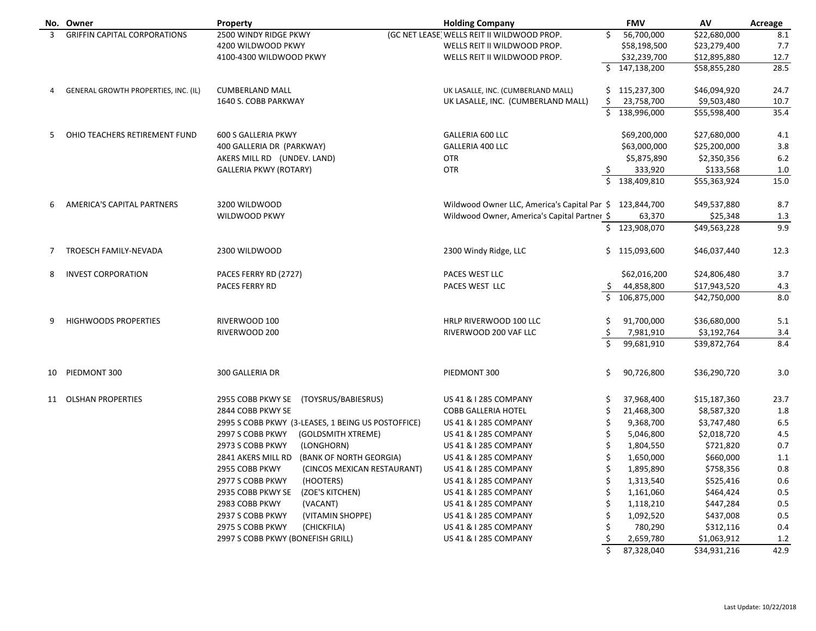|    | No. Owner                            | Property                                           | <b>Holding Company</b>                                   |    | <b>FMV</b>    | AV           | Acreage |
|----|--------------------------------------|----------------------------------------------------|----------------------------------------------------------|----|---------------|--------------|---------|
| 3  | <b>GRIFFIN CAPITAL CORPORATIONS</b>  | 2500 WINDY RIDGE PKWY                              | (GC NET LEASE WELLS REIT II WILDWOOD PROP.               | Ś. | 56,700,000    | \$22,680,000 | 8.1     |
|    |                                      | 4200 WILDWOOD PKWY                                 | WELLS REIT II WILDWOOD PROP.                             |    | \$58,198,500  | \$23,279,400 | 7.7     |
|    |                                      | 4100-4300 WILDWOOD PKWY                            | WELLS REIT II WILDWOOD PROP.                             |    | \$32,239,700  | \$12,895,880 | 12.7    |
|    |                                      |                                                    |                                                          |    | \$147,138,200 | \$58,855,280 | 28.5    |
|    | GENERAL GROWTH PROPERTIES, INC. (IL) | <b>CUMBERLAND MALL</b>                             | UK LASALLE, INC. (CUMBERLAND MALL)                       |    | \$115,237,300 | \$46,094,920 | 24.7    |
|    |                                      | 1640 S. COBB PARKWAY                               | UK LASALLE, INC. (CUMBERLAND MALL)                       | \$ | 23,758,700    | \$9,503,480  | 10.7    |
|    |                                      |                                                    |                                                          | Ś. | 138,996,000   | \$55,598,400 | 35.4    |
| -5 | OHIO TEACHERS RETIREMENT FUND        | <b>600 S GALLERIA PKWY</b>                         | GALLERIA 600 LLC                                         |    | \$69,200,000  | \$27,680,000 | 4.1     |
|    |                                      | 400 GALLERIA DR (PARKWAY)                          | <b>GALLERIA 400 LLC</b>                                  |    | \$63,000,000  | \$25,200,000 | 3.8     |
|    |                                      | AKERS MILL RD (UNDEV. LAND)                        | <b>OTR</b>                                               |    | \$5,875,890   | \$2,350,356  | 6.2     |
|    |                                      | <b>GALLERIA PKWY (ROTARY)</b>                      | <b>OTR</b>                                               |    | 333,920       | \$133,568    | 1.0     |
|    |                                      |                                                    |                                                          |    | 138,409,810   | \$55,363,924 | 15.0    |
| 6  | AMERICA'S CAPITAL PARTNERS           | 3200 WILDWOOD                                      | Wildwood Owner LLC, America's Capital Par \$ 123,844,700 |    |               | \$49,537,880 | 8.7     |
|    |                                      | WILDWOOD PKWY                                      | Wildwood Owner, America's Capital Partner \$             |    | 63,370        | \$25,348     | 1.3     |
|    |                                      |                                                    |                                                          |    | \$123,908,070 | \$49,563,228 | 9.9     |
| 7  | TROESCH FAMILY-NEVADA                | 2300 WILDWOOD                                      | 2300 Windy Ridge, LLC                                    |    | \$115,093,600 | \$46,037,440 | 12.3    |
| 8  | <b>INVEST CORPORATION</b>            | PACES FERRY RD (2727)                              | PACES WEST LLC                                           |    | \$62,016,200  | \$24,806,480 | 3.7     |
|    |                                      | PACES FERRY RD                                     | PACES WEST LLC                                           | S  | 44,858,800    | \$17,943,520 | 4.3     |
|    |                                      |                                                    |                                                          |    | \$106,875,000 | \$42,750,000 | 8.0     |
| 9  | <b>HIGHWOODS PROPERTIES</b>          | RIVERWOOD 100                                      | HRLP RIVERWOOD 100 LLC                                   |    | 91,700,000    | \$36,680,000 | 5.1     |
|    |                                      | RIVERWOOD 200                                      | RIVERWOOD 200 VAF LLC                                    |    | 7,981,910     | \$3,192,764  | 3.4     |
|    |                                      |                                                    |                                                          |    | 99,681,910    | \$39,872,764 | 8.4     |
| 10 | PIEDMONT 300                         | 300 GALLERIA DR                                    | PIEDMONT 300                                             | \$ | 90,726,800    | \$36,290,720 | 3.0     |
|    | 11 OLSHAN PROPERTIES                 | (TOYSRUS/BABIESRUS)<br>2955 COBB PKWY SE           | US 41 & I 285 COMPANY                                    |    | 37,968,400    | \$15,187,360 | 23.7    |
|    |                                      | 2844 COBB PKWY SE                                  | <b>COBB GALLERIA HOTEL</b>                               |    | 21,468,300    | \$8,587,320  | 1.8     |
|    |                                      | 2995 S COBB PKWY (3-LEASES, 1 BEING US POSTOFFICE) | US 41 & I 285 COMPANY                                    |    | 9,368,700     | \$3,747,480  | 6.5     |
|    |                                      | (GOLDSMITH XTREME)<br>2997 S COBB PKWY             | US 41 & I 285 COMPANY                                    |    | 5,046,800     | \$2,018,720  | 4.5     |
|    |                                      | 2973 S COBB PKWY<br>(LONGHORN)                     | US 41 & I 285 COMPANY                                    |    | 1,804,550     | \$721,820    | 0.7     |
|    |                                      | (BANK OF NORTH GEORGIA)<br>2841 AKERS MILL RD      | US 41 & I 285 COMPANY                                    |    | 1,650,000     | \$660,000    | 1.1     |
|    |                                      | (CINCOS MEXICAN RESTAURANT)<br>2955 COBB PKWY      | US 41 & I 285 COMPANY                                    | \$ | 1,895,890     | \$758,356    | 0.8     |
|    |                                      | 2977 S COBB PKWY<br>(HOOTERS)                      | US 41 & I 285 COMPANY                                    |    | 1,313,540     | \$525,416    | $0.6\,$ |
|    |                                      |                                                    |                                                          | \$ |               |              |         |
|    |                                      | 2935 COBB PKWY SE<br>(ZOE'S KITCHEN)               | US 41 & I 285 COMPANY<br>US 41 & I 285 COMPANY           | \$ | 1,161,060     | \$464,424    | 0.5     |
|    |                                      | 2983 COBB PKWY<br>(VACANT)                         |                                                          |    | 1,118,210     | \$447,284    | 0.5     |
|    |                                      | (VITAMIN SHOPPE)<br>2937 S COBB PKWY               | US 41 & I 285 COMPANY                                    |    | 1,092,520     | \$437,008    | 0.5     |
|    |                                      | 2975 S COBB PKWY<br>(CHICKFILA)                    | US 41 & I 285 COMPANY                                    |    | 780,290       | \$312,116    | 0.4     |
|    |                                      | 2997 S COBB PKWY (BONEFISH GRILL)                  | US 41 & I 285 COMPANY                                    | \$ | 2,659,780     | \$1,063,912  | 1.2     |
|    |                                      |                                                    |                                                          | \$ | 87,328,040    | \$34,931,216 | 42.9    |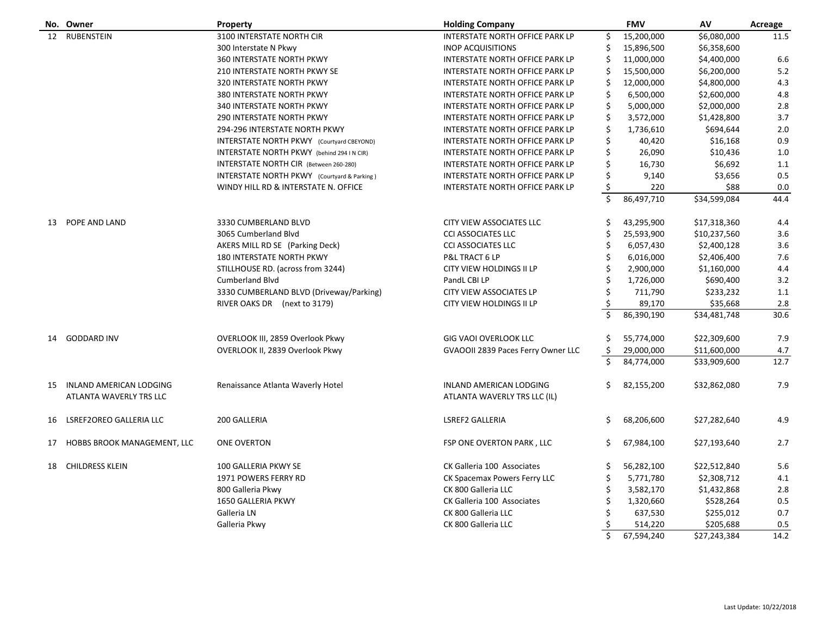|    | No. Owner                   | Property                                          | <b>Holding Company</b>             |    | <b>FMV</b> | AV           | <b>Acreage</b> |
|----|-----------------------------|---------------------------------------------------|------------------------------------|----|------------|--------------|----------------|
|    | 12 RUBENSTEIN               | 3100 INTERSTATE NORTH CIR                         | INTERSTATE NORTH OFFICE PARK LP    | \$ | 15,200,000 | \$6,080,000  | 11.5           |
|    |                             | 300 Interstate N Pkwy                             | <b>INOP ACQUISITIONS</b>           | \$ | 15,896,500 | \$6,358,600  |                |
|    |                             | 360 INTERSTATE NORTH PKWY                         | INTERSTATE NORTH OFFICE PARK LP    | \$ | 11,000,000 | \$4,400,000  | 6.6            |
|    |                             | 210 INTERSTATE NORTH PKWY SE                      | INTERSTATE NORTH OFFICE PARK LP    | Ś  | 15,500,000 | \$6,200,000  | 5.2            |
|    |                             | 320 INTERSTATE NORTH PKWY                         | INTERSTATE NORTH OFFICE PARK LP    | Ś  | 12,000,000 | \$4,800,000  | 4.3            |
|    |                             | <b>380 INTERSTATE NORTH PKWY</b>                  | INTERSTATE NORTH OFFICE PARK LP    | \$ | 6,500,000  | \$2,600,000  | 4.8            |
|    |                             | 340 INTERSTATE NORTH PKWY                         | INTERSTATE NORTH OFFICE PARK LP    | Ś  | 5,000,000  | \$2,000,000  | 2.8            |
|    |                             | <b>290 INTERSTATE NORTH PKWY</b>                  | INTERSTATE NORTH OFFICE PARK LP    | \$ | 3,572,000  | \$1,428,800  | 3.7            |
|    |                             | 294-296 INTERSTATE NORTH PKWY                     | INTERSTATE NORTH OFFICE PARK LP    | \$ | 1,736,610  | \$694,644    | 2.0            |
|    |                             | <b>INTERSTATE NORTH PKWY</b> (Courtyard CBEYOND)  | INTERSTATE NORTH OFFICE PARK LP    | Ś  | 40,420     | \$16,168     | 0.9            |
|    |                             | <b>INTERSTATE NORTH PKWY</b> (behind 294 I N CIR) | INTERSTATE NORTH OFFICE PARK LP    | Ś  | 26,090     | \$10,436     | 1.0            |
|    |                             | INTERSTATE NORTH CIR (Between 260-280)            | INTERSTATE NORTH OFFICE PARK LP    | \$ | 16,730     | \$6,692      | 1.1            |
|    |                             | INTERSTATE NORTH PKWY (Courtyard & Parking)       | INTERSTATE NORTH OFFICE PARK LP    | \$ | 9,140      | \$3,656      | 0.5            |
|    |                             | WINDY HILL RD & INTERSTATE N. OFFICE              | INTERSTATE NORTH OFFICE PARK LP    | \$ | 220        | \$88         | 0.0            |
|    |                             |                                                   |                                    | \$ | 86,497,710 | \$34,599,084 | 44.4           |
|    |                             |                                                   |                                    |    |            |              |                |
| 13 | POPE AND LAND               | 3330 CUMBERLAND BLVD                              | <b>CITY VIEW ASSOCIATES LLC</b>    | \$ | 43,295,900 | \$17,318,360 | 4.4            |
|    |                             | 3065 Cumberland Blvd                              | <b>CCI ASSOCIATES LLC</b>          |    | 25,593,900 | \$10,237,560 | 3.6            |
|    |                             | AKERS MILL RD SE (Parking Deck)                   | <b>CCI ASSOCIATES LLC</b>          | Ś  | 6,057,430  | \$2,400,128  | 3.6            |
|    |                             | <b>180 INTERSTATE NORTH PKWY</b>                  | P&L TRACT 6 LP                     | \$ | 6,016,000  | \$2,406,400  | 7.6            |
|    |                             | STILLHOUSE RD. (across from 3244)                 | CITY VIEW HOLDINGS II LP           |    | 2,900,000  | \$1,160,000  | 4.4            |
|    |                             | <b>Cumberland Blvd</b>                            | PandL CBI LP                       | Ś  | 1,726,000  | \$690,400    | 3.2            |
|    |                             | 3330 CUMBERLAND BLVD (Driveway/Parking)           | CITY VIEW ASSOCIATES LP            | \$ | 711,790    | \$233,232    | 1.1            |
|    |                             | RIVER OAKS DR (next to 3179)                      | CITY VIEW HOLDINGS II LP           |    | 89,170     | \$35,668     | 2.8            |
|    |                             |                                                   |                                    |    | 86,390,190 | \$34,481,748 | 30.6           |
| 14 | <b>GODDARD INV</b>          | OVERLOOK III, 2859 Overlook Pkwy                  | GIG VAOI OVERLOOK LLC              | Ś. | 55,774,000 | \$22,309,600 | 7.9            |
|    |                             | OVERLOOK II, 2839 Overlook Pkwy                   | GVAOOII 2839 Paces Ferry Owner LLC | \$ | 29,000,000 | \$11,600,000 | 4.7            |
|    |                             |                                                   |                                    | \$ | 84,774,000 | \$33,909,600 | 12.7           |
|    |                             |                                                   |                                    |    |            |              |                |
| 15 | INLAND AMERICAN LODGING     | Renaissance Atlanta Waverly Hotel                 | INLAND AMERICAN LODGING            | \$ | 82,155,200 | \$32,862,080 | 7.9            |
|    | ATLANTA WAVERLY TRS LLC     |                                                   | ATLANTA WAVERLY TRS LLC (IL)       |    |            |              |                |
| 16 | LSREF2OREO GALLERIA LLC     | 200 GALLERIA                                      | LSREF2 GALLERIA                    | \$ | 68,206,600 | \$27,282,640 | 4.9            |
| 17 | HOBBS BROOK MANAGEMENT, LLC | ONE OVERTON                                       | FSP ONE OVERTON PARK, LLC          | \$ | 67,984,100 | \$27,193,640 | 2.7            |
|    |                             |                                                   |                                    |    |            |              |                |
| 18 | <b>CHILDRESS KLEIN</b>      | 100 GALLERIA PKWY SE                              | CK Galleria 100 Associates         | \$ | 56,282,100 | \$22,512,840 | 5.6            |
|    |                             | 1971 POWERS FERRY RD                              | CK Spacemax Powers Ferry LLC       | Ś  | 5,771,780  | \$2,308,712  | 4.1            |
|    |                             | 800 Galleria Pkwy                                 | CK 800 Galleria LLC                | Ś  | 3,582,170  | \$1,432,868  | 2.8            |
|    |                             | 1650 GALLERIA PKWY                                | CK Galleria 100 Associates         | \$ | 1,320,660  | \$528,264    | 0.5            |
|    |                             | Galleria LN                                       | CK 800 Galleria LLC                |    | 637,530    | \$255,012    | 0.7            |
|    |                             | Galleria Pkwy                                     | CK 800 Galleria LLC                | \$ | 514,220    | \$205,688    | 0.5            |
|    |                             |                                                   |                                    |    | 67,594,240 | \$27,243,384 | 14.2           |